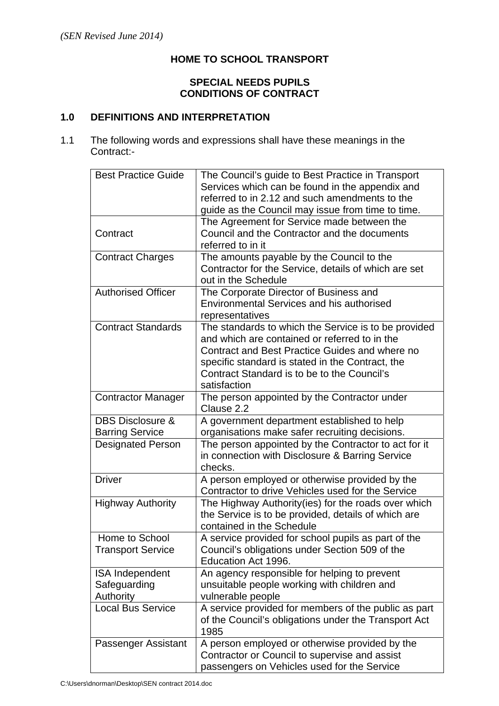## **HOME TO SCHOOL TRANSPORT**

### **SPECIAL NEEDS PUPILS CONDITIONS OF CONTRACT**

## **1.0 DEFINITIONS AND INTERPRETATION**

1.1 The following words and expressions shall have these meanings in the Contract:-

| <b>Best Practice Guide</b>                            | The Council's guide to Best Practice in Transport<br>Services which can be found in the appendix and<br>referred to in 2.12 and such amendments to the                                                                                                                     |
|-------------------------------------------------------|----------------------------------------------------------------------------------------------------------------------------------------------------------------------------------------------------------------------------------------------------------------------------|
|                                                       | guide as the Council may issue from time to time.                                                                                                                                                                                                                          |
| Contract                                              | The Agreement for Service made between the<br>Council and the Contractor and the documents<br>referred to in it                                                                                                                                                            |
| <b>Contract Charges</b>                               | The amounts payable by the Council to the<br>Contractor for the Service, details of which are set<br>out in the Schedule                                                                                                                                                   |
| <b>Authorised Officer</b>                             | The Corporate Director of Business and<br><b>Environmental Services and his authorised</b><br>representatives                                                                                                                                                              |
| <b>Contract Standards</b>                             | The standards to which the Service is to be provided<br>and which are contained or referred to in the<br>Contract and Best Practice Guides and where no<br>specific standard is stated in the Contract, the<br>Contract Standard is to be to the Council's<br>satisfaction |
| <b>Contractor Manager</b>                             | The person appointed by the Contractor under<br>Clause 2.2                                                                                                                                                                                                                 |
| <b>DBS Disclosure &amp;</b><br><b>Barring Service</b> | A government department established to help<br>organisations make safer recruiting decisions.                                                                                                                                                                              |
| <b>Designated Person</b>                              | The person appointed by the Contractor to act for it<br>in connection with Disclosure & Barring Service<br>checks.                                                                                                                                                         |
| <b>Driver</b>                                         | A person employed or otherwise provided by the<br>Contractor to drive Vehicles used for the Service                                                                                                                                                                        |
| <b>Highway Authority</b>                              | The Highway Authority (ies) for the roads over which<br>the Service is to be provided, details of which are<br>contained in the Schedule                                                                                                                                   |
| Home to School<br><b>Transport Service</b>            | A service provided for school pupils as part of the<br>Council's obligations under Section 509 of the<br>Education Act 1996.                                                                                                                                               |
| <b>ISA Independent</b><br>Safeguarding<br>Authority   | An agency responsible for helping to prevent<br>unsuitable people working with children and<br>vulnerable people                                                                                                                                                           |
| <b>Local Bus Service</b>                              | A service provided for members of the public as part<br>of the Council's obligations under the Transport Act<br>1985                                                                                                                                                       |
| Passenger Assistant                                   | A person employed or otherwise provided by the<br>Contractor or Council to supervise and assist<br>passengers on Vehicles used for the Service                                                                                                                             |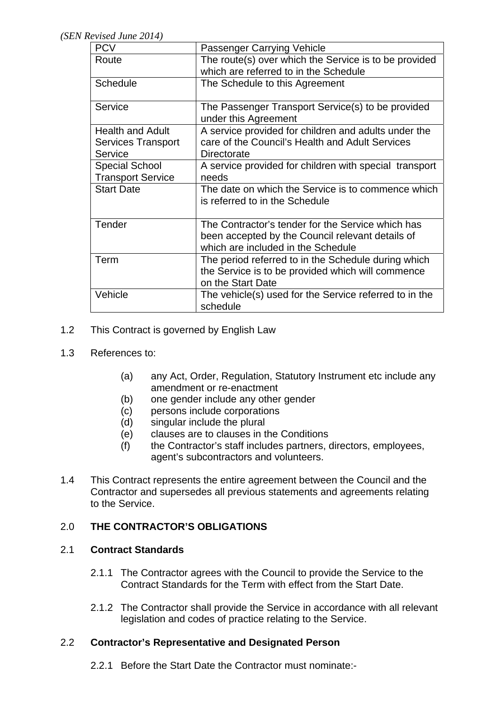*(SEN Revised June 2014)* 

| Criscu Julie 2017)        |                                                                                      |
|---------------------------|--------------------------------------------------------------------------------------|
| <b>PCV</b>                | Passenger Carrying Vehicle                                                           |
| Route                     | The route(s) over which the Service is to be provided                                |
|                           | which are referred to in the Schedule                                                |
| <b>Schedule</b>           | The Schedule to this Agreement                                                       |
| Service                   | The Passenger Transport Service(s) to be provided<br>under this Agreement            |
| <b>Health and Adult</b>   | A service provided for children and adults under the                                 |
| <b>Services Transport</b> | care of the Council's Health and Adult Services                                      |
| Service                   | Directorate                                                                          |
| <b>Special School</b>     | A service provided for children with special transport                               |
| <b>Transport Service</b>  | needs                                                                                |
| <b>Start Date</b>         | The date on which the Service is to commence which<br>is referred to in the Schedule |
| Tender                    | The Contractor's tender for the Service which has                                    |
|                           | been accepted by the Council relevant details of                                     |
|                           | which are included in the Schedule                                                   |
| Term                      | The period referred to in the Schedule during which                                  |
|                           | the Service is to be provided which will commence<br>on the Start Date               |
| Vehicle                   | The vehicle(s) used for the Service referred to in the<br>schedule                   |

# 1.2 This Contract is governed by English Law

- 1.3 References to:
	- (a) any Act, Order, Regulation, Statutory Instrument etc include any amendment or re-enactment
	- (b) one gender include any other gender
	- (c) persons include corporations
	- (d) singular include the plural
	- (e) clauses are to clauses in the Conditions
	- (f) the Contractor's staff includes partners, directors, employees, agent's subcontractors and volunteers.
- 1.4 This Contract represents the entire agreement between the Council and the Contractor and supersedes all previous statements and agreements relating to the Service.

## 2.0 **THE CONTRACTOR'S OBLIGATIONS**

## 2.1 **Contract Standards**

- 2.1.1 The Contractor agrees with the Council to provide the Service to the Contract Standards for the Term with effect from the Start Date.
- 2.1.2 The Contractor shall provide the Service in accordance with all relevant legislation and codes of practice relating to the Service.

## 2.2 **Contractor's Representative and Designated Person**

2.2.1 Before the Start Date the Contractor must nominate:-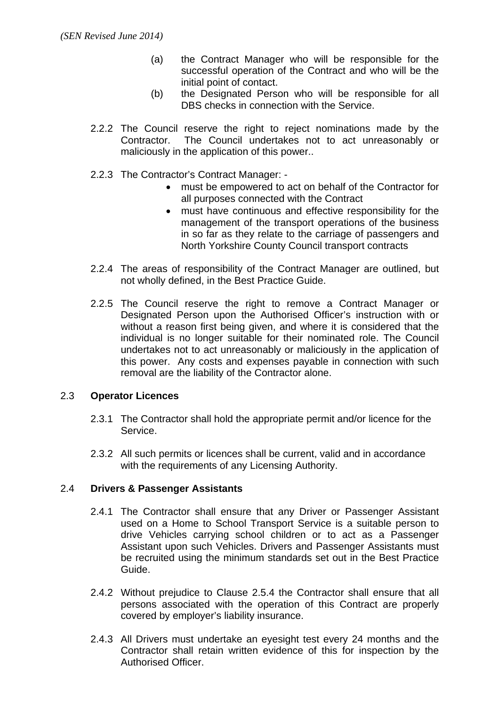- (a) the Contract Manager who will be responsible for the successful operation of the Contract and who will be the initial point of contact.
- (b) the Designated Person who will be responsible for all DBS checks in connection with the Service.
- 2.2.2 The Council reserve the right to reject nominations made by the Contractor. The Council undertakes not to act unreasonably or maliciously in the application of this power..
- 2.2.3 The Contractor's Contract Manager:
	- must be empowered to act on behalf of the Contractor for all purposes connected with the Contract
	- must have continuous and effective responsibility for the management of the transport operations of the business in so far as they relate to the carriage of passengers and North Yorkshire County Council transport contracts
- 2.2.4 The areas of responsibility of the Contract Manager are outlined, but not wholly defined, in the Best Practice Guide.
- 2.2.5 The Council reserve the right to remove a Contract Manager or Designated Person upon the Authorised Officer's instruction with or without a reason first being given, and where it is considered that the individual is no longer suitable for their nominated role. The Council undertakes not to act unreasonably or maliciously in the application of this power. Any costs and expenses payable in connection with such removal are the liability of the Contractor alone.

#### 2.3 **Operator Licences**

- 2.3.1 The Contractor shall hold the appropriate permit and/or licence for the Service.
- 2.3.2 All such permits or licences shall be current, valid and in accordance with the requirements of any Licensing Authority.

#### 2.4 **Drivers & Passenger Assistants**

- 2.4.1 The Contractor shall ensure that any Driver or Passenger Assistant used on a Home to School Transport Service is a suitable person to drive Vehicles carrying school children or to act as a Passenger Assistant upon such Vehicles. Drivers and Passenger Assistants must be recruited using the minimum standards set out in the Best Practice Guide.
- 2.4.2 Without prejudice to Clause 2.5.4 the Contractor shall ensure that all persons associated with the operation of this Contract are properly covered by employer's liability insurance.
- 2.4.3 All Drivers must undertake an eyesight test every 24 months and the Contractor shall retain written evidence of this for inspection by the Authorised Officer.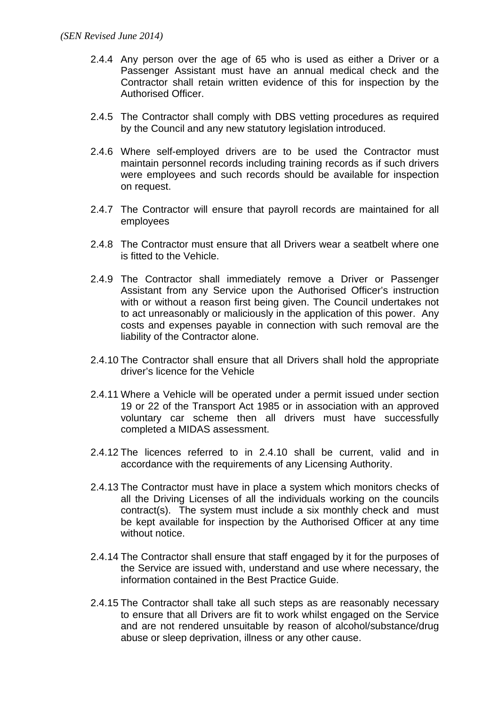- 2.4.4 Any person over the age of 65 who is used as either a Driver or a Passenger Assistant must have an annual medical check and the Contractor shall retain written evidence of this for inspection by the Authorised Officer.
- 2.4.5 The Contractor shall comply with DBS vetting procedures as required by the Council and any new statutory legislation introduced.
- 2.4.6 Where self-employed drivers are to be used the Contractor must maintain personnel records including training records as if such drivers were employees and such records should be available for inspection on request.
- 2.4.7 The Contractor will ensure that payroll records are maintained for all employees
- 2.4.8 The Contractor must ensure that all Drivers wear a seatbelt where one is fitted to the Vehicle.
- 2.4.9 The Contractor shall immediately remove a Driver or Passenger Assistant from any Service upon the Authorised Officer's instruction with or without a reason first being given. The Council undertakes not to act unreasonably or maliciously in the application of this power. Any costs and expenses payable in connection with such removal are the liability of the Contractor alone.
- 2.4.10 The Contractor shall ensure that all Drivers shall hold the appropriate driver's licence for the Vehicle
- 2.4.11 Where a Vehicle will be operated under a permit issued under section 19 or 22 of the Transport Act 1985 or in association with an approved voluntary car scheme then all drivers must have successfully completed a MIDAS assessment.
- 2.4.12 The licences referred to in 2.4.10 shall be current, valid and in accordance with the requirements of any Licensing Authority.
- 2.4.13 The Contractor must have in place a system which monitors checks of all the Driving Licenses of all the individuals working on the councils contract(s). The system must include a six monthly check and must be kept available for inspection by the Authorised Officer at any time without notice.
- 2.4.14 The Contractor shall ensure that staff engaged by it for the purposes of the Service are issued with, understand and use where necessary, the information contained in the Best Practice Guide.
- 2.4.15 The Contractor shall take all such steps as are reasonably necessary to ensure that all Drivers are fit to work whilst engaged on the Service and are not rendered unsuitable by reason of alcohol/substance/drug abuse or sleep deprivation, illness or any other cause.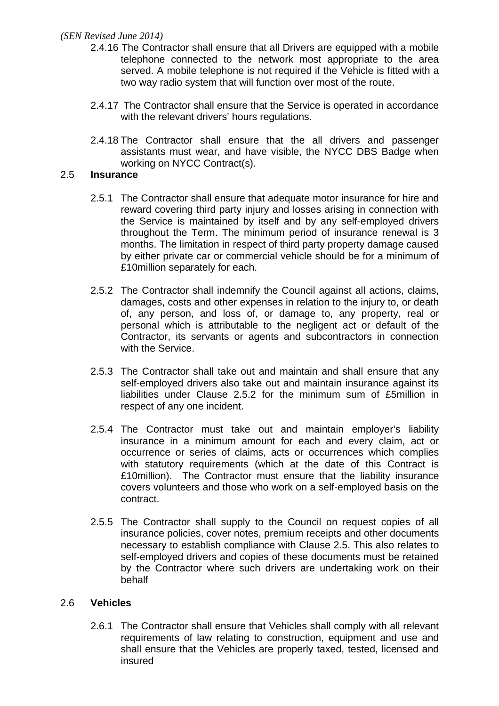- 2.4.16 The Contractor shall ensure that all Drivers are equipped with a mobile telephone connected to the network most appropriate to the area served. A mobile telephone is not required if the Vehicle is fitted with a two way radio system that will function over most of the route.
- 2.4.17 The Contractor shall ensure that the Service is operated in accordance with the relevant drivers' hours regulations.
- 2.4.18 The Contractor shall ensure that the all drivers and passenger assistants must wear, and have visible, the NYCC DBS Badge when working on NYCC Contract(s).

### 2.5 **Insurance**

- 2.5.1 The Contractor shall ensure that adequate motor insurance for hire and reward covering third party injury and losses arising in connection with the Service is maintained by itself and by any self-employed drivers throughout the Term. The minimum period of insurance renewal is 3 months. The limitation in respect of third party property damage caused by either private car or commercial vehicle should be for a minimum of £10million separately for each.
- 2.5.2 The Contractor shall indemnify the Council against all actions, claims, damages, costs and other expenses in relation to the injury to, or death of, any person, and loss of, or damage to, any property, real or personal which is attributable to the negligent act or default of the Contractor, its servants or agents and subcontractors in connection with the Service.
- 2.5.3 The Contractor shall take out and maintain and shall ensure that any self-employed drivers also take out and maintain insurance against its liabilities under Clause 2.5.2 for the minimum sum of £5million in respect of any one incident.
- 2.5.4 The Contractor must take out and maintain employer's liability insurance in a minimum amount for each and every claim, act or occurrence or series of claims, acts or occurrences which complies with statutory requirements (which at the date of this Contract is £10million). The Contractor must ensure that the liability insurance covers volunteers and those who work on a self-employed basis on the contract.
- 2.5.5 The Contractor shall supply to the Council on request copies of all insurance policies, cover notes, premium receipts and other documents necessary to establish compliance with Clause 2.5. This also relates to self-employed drivers and copies of these documents must be retained by the Contractor where such drivers are undertaking work on their behalf

## 2.6 **Vehicles**

2.6.1 The Contractor shall ensure that Vehicles shall comply with all relevant requirements of law relating to construction, equipment and use and shall ensure that the Vehicles are properly taxed, tested, licensed and insured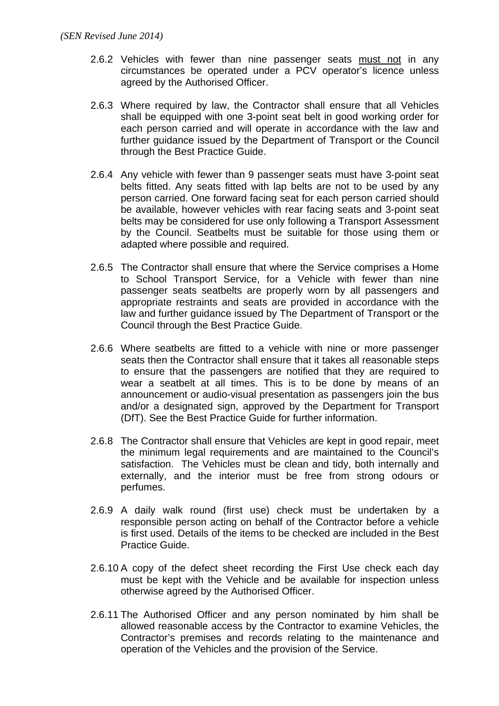- 2.6.2 Vehicles with fewer than nine passenger seats must not in any circumstances be operated under a PCV operator's licence unless agreed by the Authorised Officer.
- 2.6.3 Where required by law, the Contractor shall ensure that all Vehicles shall be equipped with one 3-point seat belt in good working order for each person carried and will operate in accordance with the law and further guidance issued by the Department of Transport or the Council through the Best Practice Guide.
- 2.6.4 Any vehicle with fewer than 9 passenger seats must have 3-point seat belts fitted. Any seats fitted with lap belts are not to be used by any person carried. One forward facing seat for each person carried should be available, however vehicles with rear facing seats and 3-point seat belts may be considered for use only following a Transport Assessment by the Council. Seatbelts must be suitable for those using them or adapted where possible and required.
- 2.6.5 The Contractor shall ensure that where the Service comprises a Home to School Transport Service, for a Vehicle with fewer than nine passenger seats seatbelts are properly worn by all passengers and appropriate restraints and seats are provided in accordance with the law and further guidance issued by The Department of Transport or the Council through the Best Practice Guide.
- 2.6.6 Where seatbelts are fitted to a vehicle with nine or more passenger seats then the Contractor shall ensure that it takes all reasonable steps to ensure that the passengers are notified that they are required to wear a seatbelt at all times. This is to be done by means of an announcement or audio-visual presentation as passengers join the bus and/or a designated sign, approved by the Department for Transport (DfT). See the Best Practice Guide for further information.
- 2.6.8 The Contractor shall ensure that Vehicles are kept in good repair, meet the minimum legal requirements and are maintained to the Council's satisfaction. The Vehicles must be clean and tidy, both internally and externally, and the interior must be free from strong odours or perfumes.
- 2.6.9 A daily walk round (first use) check must be undertaken by a responsible person acting on behalf of the Contractor before a vehicle is first used. Details of the items to be checked are included in the Best Practice Guide.
- 2.6.10 A copy of the defect sheet recording the First Use check each day must be kept with the Vehicle and be available for inspection unless otherwise agreed by the Authorised Officer.
- 2.6.11 The Authorised Officer and any person nominated by him shall be allowed reasonable access by the Contractor to examine Vehicles, the Contractor's premises and records relating to the maintenance and operation of the Vehicles and the provision of the Service.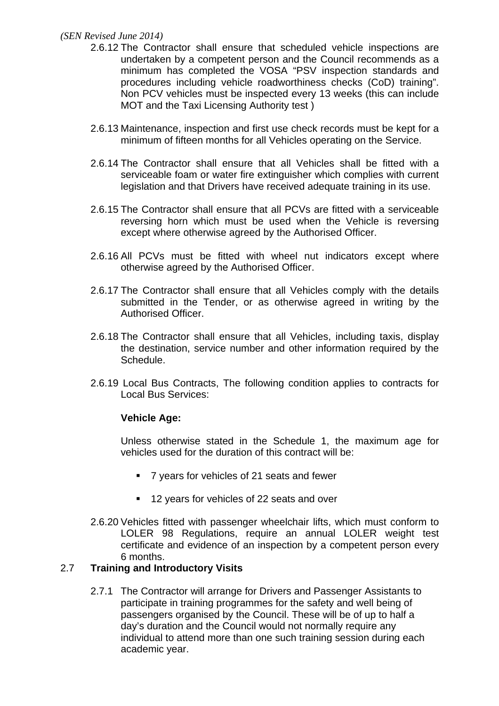- 2.6.12 The Contractor shall ensure that scheduled vehicle inspections are undertaken by a competent person and the Council recommends as a minimum has completed the VOSA "PSV inspection standards and procedures including vehicle roadworthiness checks (CoD) training". Non PCV vehicles must be inspected every 13 weeks (this can include MOT and the Taxi Licensing Authority test )
- 2.6.13 Maintenance, inspection and first use check records must be kept for a minimum of fifteen months for all Vehicles operating on the Service.
- 2.6.14 The Contractor shall ensure that all Vehicles shall be fitted with a serviceable foam or water fire extinguisher which complies with current legislation and that Drivers have received adequate training in its use.
- 2.6.15 The Contractor shall ensure that all PCVs are fitted with a serviceable reversing horn which must be used when the Vehicle is reversing except where otherwise agreed by the Authorised Officer.
- 2.6.16 All PCVs must be fitted with wheel nut indicators except where otherwise agreed by the Authorised Officer.
- 2.6.17 The Contractor shall ensure that all Vehicles comply with the details submitted in the Tender, or as otherwise agreed in writing by the Authorised Officer.
- 2.6.18 The Contractor shall ensure that all Vehicles, including taxis, display the destination, service number and other information required by the Schedule.
- 2.6.19 Local Bus Contracts, The following condition applies to contracts for Local Bus Services:

#### **Vehicle Age:**

Unless otherwise stated in the Schedule 1, the maximum age for vehicles used for the duration of this contract will be:

- 7 years for vehicles of 21 seats and fewer
- 12 years for vehicles of 22 seats and over
- 2.6.20 Vehicles fitted with passenger wheelchair lifts, which must conform to LOLER 98 Regulations, require an annual LOLER weight test certificate and evidence of an inspection by a competent person every 6 months.

## 2.7 **Training and Introductory Visits**

2.7.1 The Contractor will arrange for Drivers and Passenger Assistants to participate in training programmes for the safety and well being of passengers organised by the Council. These will be of up to half a day's duration and the Council would not normally require any individual to attend more than one such training session during each academic year.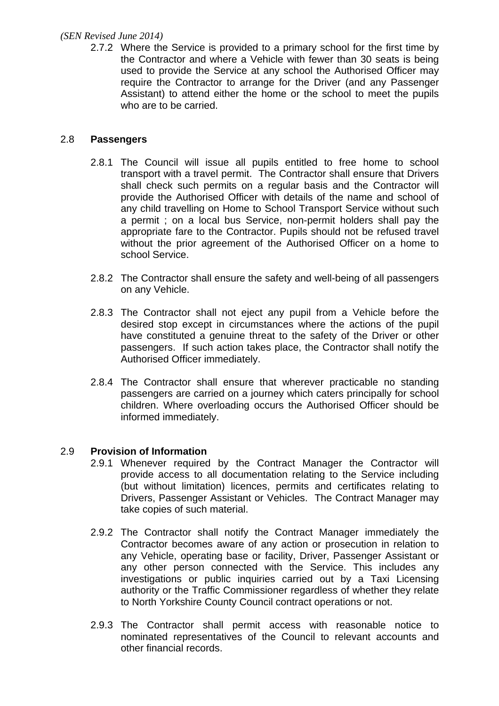2.7.2 Where the Service is provided to a primary school for the first time by the Contractor and where a Vehicle with fewer than 30 seats is being used to provide the Service at any school the Authorised Officer may require the Contractor to arrange for the Driver (and any Passenger Assistant) to attend either the home or the school to meet the pupils who are to be carried.

### 2.8 **Passengers**

- 2.8.1 The Council will issue all pupils entitled to free home to school transport with a travel permit. The Contractor shall ensure that Drivers shall check such permits on a regular basis and the Contractor will provide the Authorised Officer with details of the name and school of any child travelling on Home to School Transport Service without such a permit ; on a local bus Service, non-permit holders shall pay the appropriate fare to the Contractor. Pupils should not be refused travel without the prior agreement of the Authorised Officer on a home to school Service.
- 2.8.2 The Contractor shall ensure the safety and well-being of all passengers on any Vehicle.
- 2.8.3 The Contractor shall not eject any pupil from a Vehicle before the desired stop except in circumstances where the actions of the pupil have constituted a genuine threat to the safety of the Driver or other passengers. If such action takes place, the Contractor shall notify the Authorised Officer immediately.
- 2.8.4 The Contractor shall ensure that wherever practicable no standing passengers are carried on a journey which caters principally for school children. Where overloading occurs the Authorised Officer should be informed immediately.

## 2.9 **Provision of Information**

- 2.9.1 Whenever required by the Contract Manager the Contractor will provide access to all documentation relating to the Service including (but without limitation) licences, permits and certificates relating to Drivers, Passenger Assistant or Vehicles. The Contract Manager may take copies of such material.
- 2.9.2 The Contractor shall notify the Contract Manager immediately the Contractor becomes aware of any action or prosecution in relation to any Vehicle, operating base or facility, Driver, Passenger Assistant or any other person connected with the Service. This includes any investigations or public inquiries carried out by a Taxi Licensing authority or the Traffic Commissioner regardless of whether they relate to North Yorkshire County Council contract operations or not.
- 2.9.3 The Contractor shall permit access with reasonable notice to nominated representatives of the Council to relevant accounts and other financial records.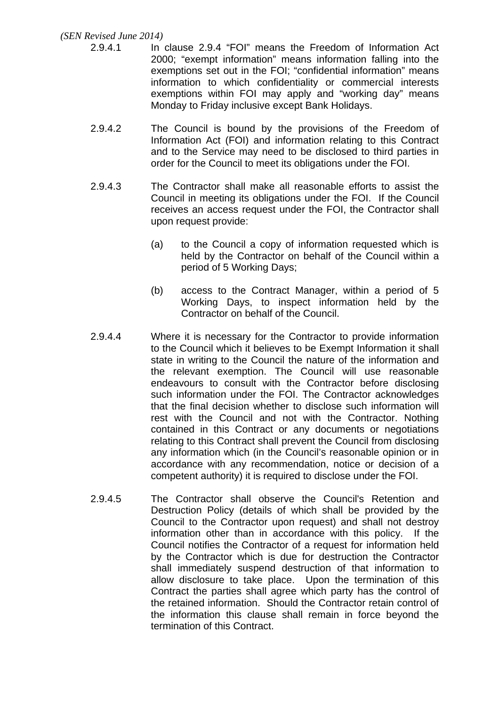- 2.9.4.1 In clause 2.9.4 "FOI" means the Freedom of Information Act 2000; "exempt information" means information falling into the exemptions set out in the FOI; "confidential information" means information to which confidentiality or commercial interests exemptions within FOI may apply and "working day" means Monday to Friday inclusive except Bank Holidays.
- 2.9.4.2 The Council is bound by the provisions of the Freedom of Information Act (FOI) and information relating to this Contract and to the Service may need to be disclosed to third parties in order for the Council to meet its obligations under the FOI.
- 2.9.4.3 The Contractor shall make all reasonable efforts to assist the Council in meeting its obligations under the FOI. If the Council receives an access request under the FOI, the Contractor shall upon request provide:
	- (a) to the Council a copy of information requested which is held by the Contractor on behalf of the Council within a period of 5 Working Days;
	- (b) access to the Contract Manager, within a period of 5 Working Days, to inspect information held by the Contractor on behalf of the Council.
- 2.9.4.4 Where it is necessary for the Contractor to provide information to the Council which it believes to be Exempt Information it shall state in writing to the Council the nature of the information and the relevant exemption. The Council will use reasonable endeavours to consult with the Contractor before disclosing such information under the FOI. The Contractor acknowledges that the final decision whether to disclose such information will rest with the Council and not with the Contractor. Nothing contained in this Contract or any documents or negotiations relating to this Contract shall prevent the Council from disclosing any information which (in the Council's reasonable opinion or in accordance with any recommendation, notice or decision of a competent authority) it is required to disclose under the FOI.
- 2.9.4.5 The Contractor shall observe the Council's Retention and Destruction Policy (details of which shall be provided by the Council to the Contractor upon request) and shall not destroy information other than in accordance with this policy. If the Council notifies the Contractor of a request for information held by the Contractor which is due for destruction the Contractor shall immediately suspend destruction of that information to allow disclosure to take place. Upon the termination of this Contract the parties shall agree which party has the control of the retained information. Should the Contractor retain control of the information this clause shall remain in force beyond the termination of this Contract.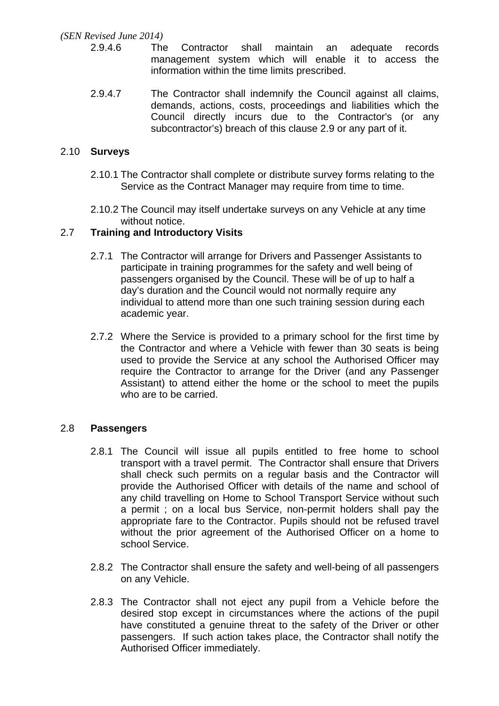- 2.9.4.6 The Contractor shall maintain an adequate records management system which will enable it to access the information within the time limits prescribed.
- 2.9.4.7 The Contractor shall indemnify the Council against all claims, demands, actions, costs, proceedings and liabilities which the Council directly incurs due to the Contractor's (or any subcontractor's) breach of this clause 2.9 or any part of it.

### 2.10 **Surveys**

- 2.10.1 The Contractor shall complete or distribute survey forms relating to the Service as the Contract Manager may require from time to time.
- 2.10.2 The Council may itself undertake surveys on any Vehicle at any time without notice.

### 2.7 **Training and Introductory Visits**

- 2.7.1 The Contractor will arrange for Drivers and Passenger Assistants to participate in training programmes for the safety and well being of passengers organised by the Council. These will be of up to half a day's duration and the Council would not normally require any individual to attend more than one such training session during each academic year.
- 2.7.2 Where the Service is provided to a primary school for the first time by the Contractor and where a Vehicle with fewer than 30 seats is being used to provide the Service at any school the Authorised Officer may require the Contractor to arrange for the Driver (and any Passenger Assistant) to attend either the home or the school to meet the pupils who are to be carried.

#### 2.8 **Passengers**

- 2.8.1 The Council will issue all pupils entitled to free home to school transport with a travel permit. The Contractor shall ensure that Drivers shall check such permits on a regular basis and the Contractor will provide the Authorised Officer with details of the name and school of any child travelling on Home to School Transport Service without such a permit ; on a local bus Service, non-permit holders shall pay the appropriate fare to the Contractor. Pupils should not be refused travel without the prior agreement of the Authorised Officer on a home to school Service.
- 2.8.2 The Contractor shall ensure the safety and well-being of all passengers on any Vehicle.
- 2.8.3 The Contractor shall not eject any pupil from a Vehicle before the desired stop except in circumstances where the actions of the pupil have constituted a genuine threat to the safety of the Driver or other passengers. If such action takes place, the Contractor shall notify the Authorised Officer immediately.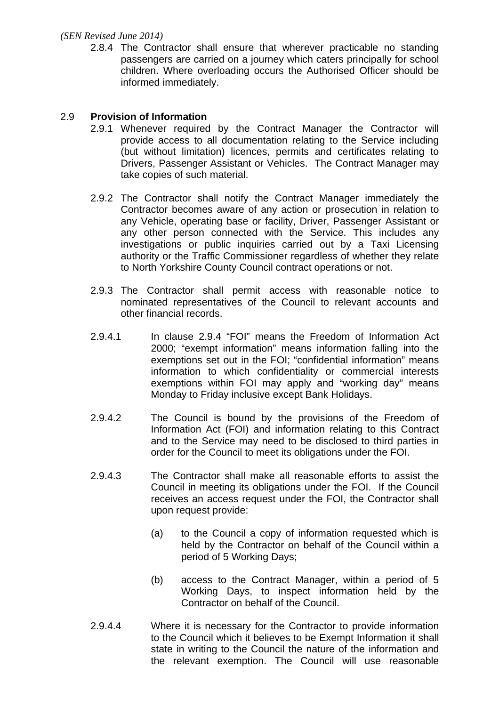2.8.4 The Contractor shall ensure that wherever practicable no standing passengers are carried on a journey which caters principally for school children. Where overloading occurs the Authorised Officer should be informed immediately.

#### 2.9 **Provision of Information**

- 2.9.1 Whenever required by the Contract Manager the Contractor will provide access to all documentation relating to the Service including (but without limitation) licences, permits and certificates relating to Drivers, Passenger Assistant or Vehicles. The Contract Manager may take copies of such material.
- 2.9.2 The Contractor shall notify the Contract Manager immediately the Contractor becomes aware of any action or prosecution in relation to any Vehicle, operating base or facility, Driver, Passenger Assistant or any other person connected with the Service. This includes any investigations or public inquiries carried out by a Taxi Licensing authority or the Traffic Commissioner regardless of whether they relate to North Yorkshire County Council contract operations or not.
- 2.9.3 The Contractor shall permit access with reasonable notice to nominated representatives of the Council to relevant accounts and other financial records.
- 2.9.4.1 In clause 2.9.4 "FOI" means the Freedom of Information Act 2000; "exempt information" means information falling into the exemptions set out in the FOI; "confidential information" means information to which confidentiality or commercial interests exemptions within FOI may apply and "working day" means Monday to Friday inclusive except Bank Holidays.
- 2.9.4.2 The Council is bound by the provisions of the Freedom of Information Act (FOI) and information relating to this Contract and to the Service may need to be disclosed to third parties in order for the Council to meet its obligations under the FOI.
- 2.9.4.3 The Contractor shall make all reasonable efforts to assist the Council in meeting its obligations under the FOI. If the Council receives an access request under the FOI, the Contractor shall upon request provide:
	- (a) to the Council a copy of information requested which is held by the Contractor on behalf of the Council within a period of 5 Working Days;
	- (b) access to the Contract Manager, within a period of 5 Working Days, to inspect information held by the Contractor on behalf of the Council.
- 2.9.4.4 Where it is necessary for the Contractor to provide information to the Council which it believes to be Exempt Information it shall state in writing to the Council the nature of the information and the relevant exemption. The Council will use reasonable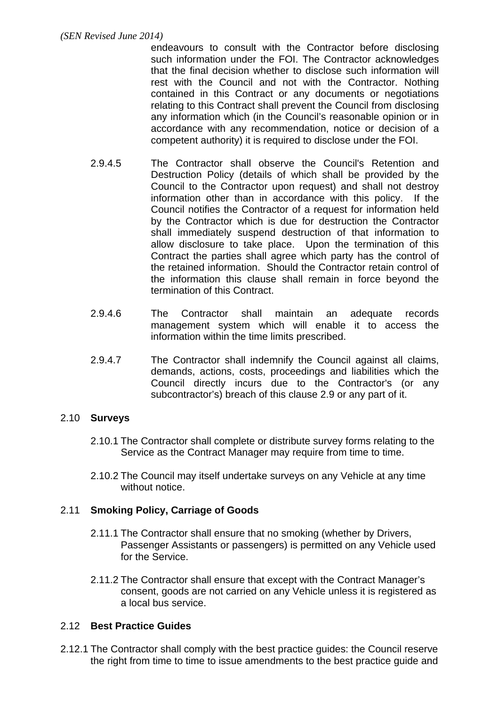endeavours to consult with the Contractor before disclosing such information under the FOI. The Contractor acknowledges that the final decision whether to disclose such information will rest with the Council and not with the Contractor. Nothing contained in this Contract or any documents or negotiations relating to this Contract shall prevent the Council from disclosing any information which (in the Council's reasonable opinion or in accordance with any recommendation, notice or decision of a competent authority) it is required to disclose under the FOI.

- 2.9.4.5 The Contractor shall observe the Council's Retention and Destruction Policy (details of which shall be provided by the Council to the Contractor upon request) and shall not destroy information other than in accordance with this policy. If the Council notifies the Contractor of a request for information held by the Contractor which is due for destruction the Contractor shall immediately suspend destruction of that information to allow disclosure to take place. Upon the termination of this Contract the parties shall agree which party has the control of the retained information. Should the Contractor retain control of the information this clause shall remain in force beyond the termination of this Contract.
- 2.9.4.6 The Contractor shall maintain an adequate records management system which will enable it to access the information within the time limits prescribed.
- 2.9.4.7 The Contractor shall indemnify the Council against all claims, demands, actions, costs, proceedings and liabilities which the Council directly incurs due to the Contractor's (or any subcontractor's) breach of this clause 2.9 or any part of it.

## 2.10 **Surveys**

- 2.10.1 The Contractor shall complete or distribute survey forms relating to the Service as the Contract Manager may require from time to time.
- 2.10.2 The Council may itself undertake surveys on any Vehicle at any time without notice.

# 2.11 **Smoking Policy, Carriage of Goods**

- 2.11.1 The Contractor shall ensure that no smoking (whether by Drivers, Passenger Assistants or passengers) is permitted on any Vehicle used for the Service.
- 2.11.2 The Contractor shall ensure that except with the Contract Manager's consent, goods are not carried on any Vehicle unless it is registered as a local bus service.

## 2.12 **Best Practice Guides**

2.12.1 The Contractor shall comply with the best practice guides: the Council reserve the right from time to time to issue amendments to the best practice guide and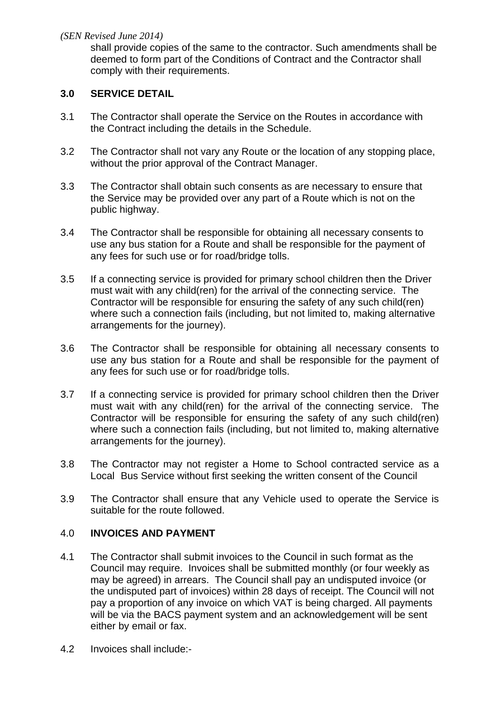shall provide copies of the same to the contractor. Such amendments shall be deemed to form part of the Conditions of Contract and the Contractor shall comply with their requirements.

### **3.0 SERVICE DETAIL**

- 3.1 The Contractor shall operate the Service on the Routes in accordance with the Contract including the details in the Schedule.
- 3.2 The Contractor shall not vary any Route or the location of any stopping place, without the prior approval of the Contract Manager.
- 3.3 The Contractor shall obtain such consents as are necessary to ensure that the Service may be provided over any part of a Route which is not on the public highway.
- 3.4 The Contractor shall be responsible for obtaining all necessary consents to use any bus station for a Route and shall be responsible for the payment of any fees for such use or for road/bridge tolls.
- 3.5 If a connecting service is provided for primary school children then the Driver must wait with any child(ren) for the arrival of the connecting service. The Contractor will be responsible for ensuring the safety of any such child(ren) where such a connection fails (including, but not limited to, making alternative arrangements for the journey).
- 3.6 The Contractor shall be responsible for obtaining all necessary consents to use any bus station for a Route and shall be responsible for the payment of any fees for such use or for road/bridge tolls.
- 3.7 If a connecting service is provided for primary school children then the Driver must wait with any child(ren) for the arrival of the connecting service. The Contractor will be responsible for ensuring the safety of any such child(ren) where such a connection fails (including, but not limited to, making alternative arrangements for the journey).
- 3.8 The Contractor may not register a Home to School contracted service as a Local Bus Service without first seeking the written consent of the Council
- 3.9 The Contractor shall ensure that any Vehicle used to operate the Service is suitable for the route followed.

#### 4.0 **INVOICES AND PAYMENT**

- 4.1 The Contractor shall submit invoices to the Council in such format as the Council may require. Invoices shall be submitted monthly (or four weekly as may be agreed) in arrears. The Council shall pay an undisputed invoice (or the undisputed part of invoices) within 28 days of receipt. The Council will not pay a proportion of any invoice on which VAT is being charged. All payments will be via the BACS payment system and an acknowledgement will be sent either by email or fax.
- 4.2 Invoices shall include:-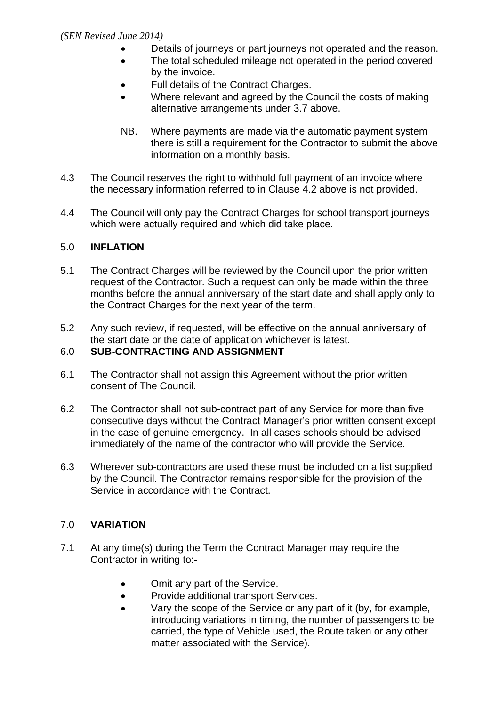- Details of journeys or part journeys not operated and the reason.
- The total scheduled mileage not operated in the period covered by the invoice.
- Full details of the Contract Charges.
- Where relevant and agreed by the Council the costs of making alternative arrangements under 3.7 above.
- NB. Where payments are made via the automatic payment system there is still a requirement for the Contractor to submit the above information on a monthly basis.
- 4.3 The Council reserves the right to withhold full payment of an invoice where the necessary information referred to in Clause 4.2 above is not provided.
- 4.4 The Council will only pay the Contract Charges for school transport journeys which were actually required and which did take place.

# 5.0 **INFLATION**

- 5.1 The Contract Charges will be reviewed by the Council upon the prior written request of the Contractor. Such a request can only be made within the three months before the annual anniversary of the start date and shall apply only to the Contract Charges for the next year of the term.
- 5.2 Any such review, if requested, will be effective on the annual anniversary of the start date or the date of application whichever is latest.

## 6.0 **SUB-CONTRACTING AND ASSIGNMENT**

- 6.1 The Contractor shall not assign this Agreement without the prior written consent of The Council.
- 6.2 The Contractor shall not sub-contract part of any Service for more than five consecutive days without the Contract Manager's prior written consent except in the case of genuine emergency. In all cases schools should be advised immediately of the name of the contractor who will provide the Service.
- 6.3 Wherever sub-contractors are used these must be included on a list supplied by the Council. The Contractor remains responsible for the provision of the Service in accordance with the Contract.

# 7.0 **VARIATION**

- 7.1 At any time(s) during the Term the Contract Manager may require the Contractor in writing to:-
	- Omit any part of the Service.
	- Provide additional transport Services.
	- Vary the scope of the Service or any part of it (by, for example, introducing variations in timing, the number of passengers to be carried, the type of Vehicle used, the Route taken or any other matter associated with the Service).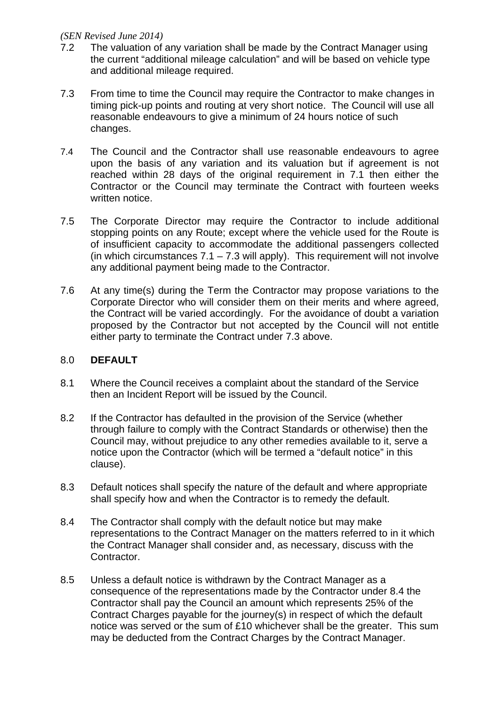- 7.2 The valuation of any variation shall be made by the Contract Manager using the current "additional mileage calculation" and will be based on vehicle type and additional mileage required.
- 7.3 From time to time the Council may require the Contractor to make changes in timing pick-up points and routing at very short notice. The Council will use all reasonable endeavours to give a minimum of 24 hours notice of such changes.
- 7.4 The Council and the Contractor shall use reasonable endeavours to agree upon the basis of any variation and its valuation but if agreement is not reached within 28 days of the original requirement in 7.1 then either the Contractor or the Council may terminate the Contract with fourteen weeks written notice.
- 7.5 The Corporate Director may require the Contractor to include additional stopping points on any Route; except where the vehicle used for the Route is of insufficient capacity to accommodate the additional passengers collected (in which circumstances  $7.1 - 7.3$  will apply). This requirement will not involve any additional payment being made to the Contractor.
- 7.6 At any time(s) during the Term the Contractor may propose variations to the Corporate Director who will consider them on their merits and where agreed, the Contract will be varied accordingly. For the avoidance of doubt a variation proposed by the Contractor but not accepted by the Council will not entitle either party to terminate the Contract under 7.3 above.

#### 8.0 **DEFAULT**

- 8.1 Where the Council receives a complaint about the standard of the Service then an Incident Report will be issued by the Council.
- 8.2 If the Contractor has defaulted in the provision of the Service (whether through failure to comply with the Contract Standards or otherwise) then the Council may, without prejudice to any other remedies available to it, serve a notice upon the Contractor (which will be termed a "default notice" in this clause).
- 8.3 Default notices shall specify the nature of the default and where appropriate shall specify how and when the Contractor is to remedy the default.
- 8.4 The Contractor shall comply with the default notice but may make representations to the Contract Manager on the matters referred to in it which the Contract Manager shall consider and, as necessary, discuss with the Contractor.
- 8.5 Unless a default notice is withdrawn by the Contract Manager as a consequence of the representations made by the Contractor under 8.4 the Contractor shall pay the Council an amount which represents 25% of the Contract Charges payable for the journey(s) in respect of which the default notice was served or the sum of £10 whichever shall be the greater. This sum may be deducted from the Contract Charges by the Contract Manager.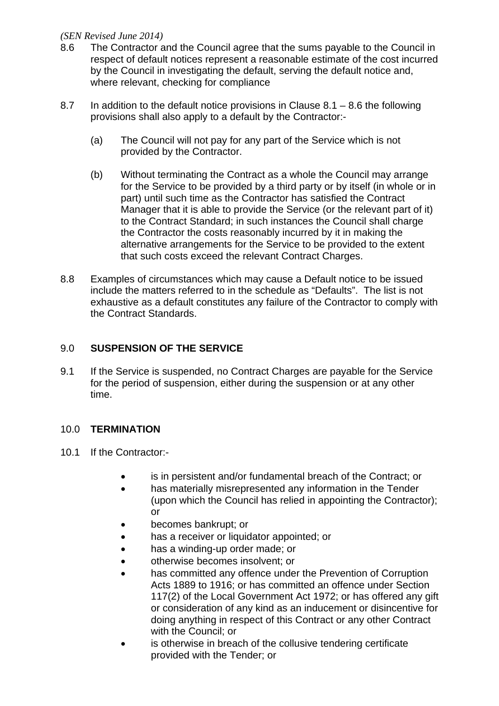- 8.6 The Contractor and the Council agree that the sums payable to the Council in respect of default notices represent a reasonable estimate of the cost incurred by the Council in investigating the default, serving the default notice and, where relevant, checking for compliance
- 8.7 In addition to the default notice provisions in Clause  $8.1 8.6$  the following provisions shall also apply to a default by the Contractor:-
	- (a) The Council will not pay for any part of the Service which is not provided by the Contractor.
	- (b) Without terminating the Contract as a whole the Council may arrange for the Service to be provided by a third party or by itself (in whole or in part) until such time as the Contractor has satisfied the Contract Manager that it is able to provide the Service (or the relevant part of it) to the Contract Standard; in such instances the Council shall charge the Contractor the costs reasonably incurred by it in making the alternative arrangements for the Service to be provided to the extent that such costs exceed the relevant Contract Charges.
- 8.8 Examples of circumstances which may cause a Default notice to be issued include the matters referred to in the schedule as "Defaults". The list is not exhaustive as a default constitutes any failure of the Contractor to comply with the Contract Standards.

## 9.0 **SUSPENSION OF THE SERVICE**

9.1 If the Service is suspended, no Contract Charges are payable for the Service for the period of suspension, either during the suspension or at any other time.

## 10.0 **TERMINATION**

- 10.1 If the Contractor:
	- is in persistent and/or fundamental breach of the Contract; or
	- has materially misrepresented any information in the Tender (upon which the Council has relied in appointing the Contractor); or
	- becomes bankrupt; or
	- has a receiver or liquidator appointed; or
	- has a winding-up order made; or
	- otherwise becomes insolvent; or
	- has committed any offence under the Prevention of Corruption Acts 1889 to 1916; or has committed an offence under Section 117(2) of the Local Government Act 1972; or has offered any gift or consideration of any kind as an inducement or disincentive for doing anything in respect of this Contract or any other Contract with the Council; or
	- is otherwise in breach of the collusive tendering certificate provided with the Tender; or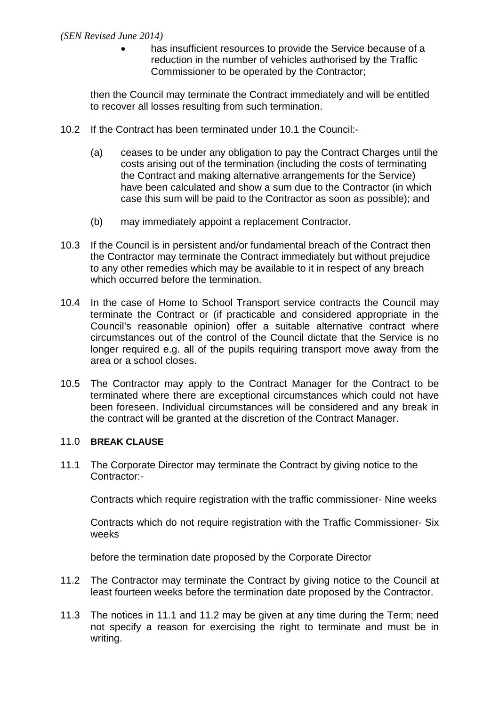has insufficient resources to provide the Service because of a reduction in the number of vehicles authorised by the Traffic Commissioner to be operated by the Contractor;

then the Council may terminate the Contract immediately and will be entitled to recover all losses resulting from such termination.

- 10.2 If the Contract has been terminated under 10.1 the Council:-
	- (a) ceases to be under any obligation to pay the Contract Charges until the costs arising out of the termination (including the costs of terminating the Contract and making alternative arrangements for the Service) have been calculated and show a sum due to the Contractor (in which case this sum will be paid to the Contractor as soon as possible); and
	- (b) may immediately appoint a replacement Contractor.
- 10.3 If the Council is in persistent and/or fundamental breach of the Contract then the Contractor may terminate the Contract immediately but without prejudice to any other remedies which may be available to it in respect of any breach which occurred before the termination.
- 10.4 In the case of Home to School Transport service contracts the Council may terminate the Contract or (if practicable and considered appropriate in the Council's reasonable opinion) offer a suitable alternative contract where circumstances out of the control of the Council dictate that the Service is no longer required e.g. all of the pupils requiring transport move away from the area or a school closes.
- 10.5 The Contractor may apply to the Contract Manager for the Contract to be terminated where there are exceptional circumstances which could not have been foreseen. Individual circumstances will be considered and any break in the contract will be granted at the discretion of the Contract Manager.

#### 11.0 **BREAK CLAUSE**

11.1 The Corporate Director may terminate the Contract by giving notice to the Contractor:-

Contracts which require registration with the traffic commissioner- Nine weeks

Contracts which do not require registration with the Traffic Commissioner- Six weeks

before the termination date proposed by the Corporate Director

- 11.2 The Contractor may terminate the Contract by giving notice to the Council at least fourteen weeks before the termination date proposed by the Contractor.
- 11.3 The notices in 11.1 and 11.2 may be given at any time during the Term; need not specify a reason for exercising the right to terminate and must be in writing.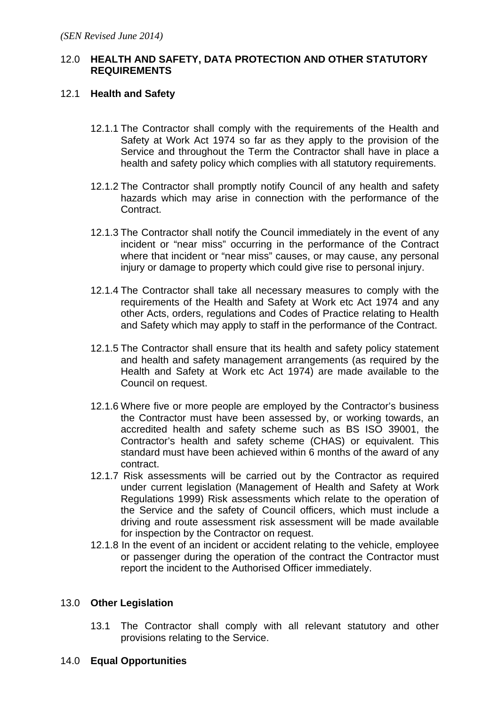### 12.0 **HEALTH AND SAFETY, DATA PROTECTION AND OTHER STATUTORY REQUIREMENTS**

### 12.1 **Health and Safety**

- 12.1.1 The Contractor shall comply with the requirements of the Health and Safety at Work Act 1974 so far as they apply to the provision of the Service and throughout the Term the Contractor shall have in place a health and safety policy which complies with all statutory requirements.
- 12.1.2 The Contractor shall promptly notify Council of any health and safety hazards which may arise in connection with the performance of the Contract.
- 12.1.3 The Contractor shall notify the Council immediately in the event of any incident or "near miss" occurring in the performance of the Contract where that incident or "near miss" causes, or may cause, any personal injury or damage to property which could give rise to personal injury.
- 12.1.4 The Contractor shall take all necessary measures to comply with the requirements of the Health and Safety at Work etc Act 1974 and any other Acts, orders, regulations and Codes of Practice relating to Health and Safety which may apply to staff in the performance of the Contract.
- 12.1.5 The Contractor shall ensure that its health and safety policy statement and health and safety management arrangements (as required by the Health and Safety at Work etc Act 1974) are made available to the Council on request.
- 12.1.6 Where five or more people are employed by the Contractor's business the Contractor must have been assessed by, or working towards, an accredited health and safety scheme such as BS ISO 39001, the Contractor's health and safety scheme (CHAS) or equivalent. This standard must have been achieved within 6 months of the award of any contract.
- 12.1.7 Risk assessments will be carried out by the Contractor as required under current legislation (Management of Health and Safety at Work Regulations 1999) Risk assessments which relate to the operation of the Service and the safety of Council officers, which must include a driving and route assessment risk assessment will be made available for inspection by the Contractor on request.
- 12.1.8 In the event of an incident or accident relating to the vehicle, employee or passenger during the operation of the contract the Contractor must report the incident to the Authorised Officer immediately.

## 13.0 **Other Legislation**

- 13.1 The Contractor shall comply with all relevant statutory and other provisions relating to the Service.
- 14.0 **Equal Opportunities**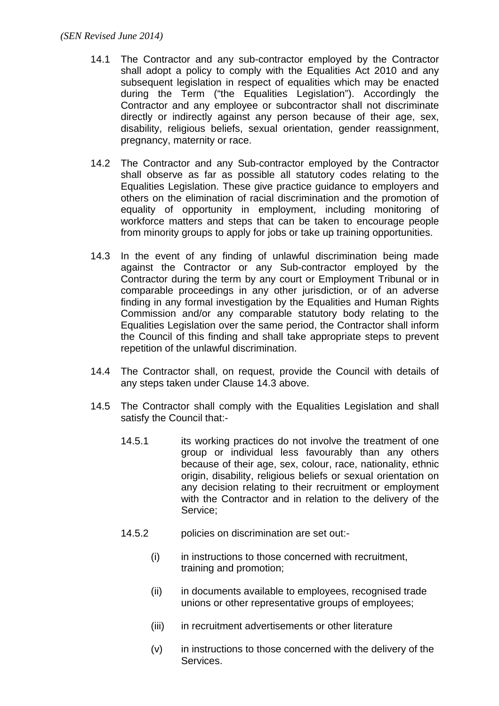- 14.1 The Contractor and any sub-contractor employed by the Contractor shall adopt a policy to comply with the Equalities Act 2010 and any subsequent legislation in respect of equalities which may be enacted during the Term ("the Equalities Legislation"). Accordingly the Contractor and any employee or subcontractor shall not discriminate directly or indirectly against any person because of their age, sex, disability, religious beliefs, sexual orientation, gender reassignment, pregnancy, maternity or race.
- 14.2 The Contractor and any Sub-contractor employed by the Contractor shall observe as far as possible all statutory codes relating to the Equalities Legislation. These give practice guidance to employers and others on the elimination of racial discrimination and the promotion of equality of opportunity in employment, including monitoring of workforce matters and steps that can be taken to encourage people from minority groups to apply for jobs or take up training opportunities.
- 14.3 In the event of any finding of unlawful discrimination being made against the Contractor or any Sub-contractor employed by the Contractor during the term by any court or Employment Tribunal or in comparable proceedings in any other jurisdiction, or of an adverse finding in any formal investigation by the Equalities and Human Rights Commission and/or any comparable statutory body relating to the Equalities Legislation over the same period, the Contractor shall inform the Council of this finding and shall take appropriate steps to prevent repetition of the unlawful discrimination.
- 14.4 The Contractor shall, on request, provide the Council with details of any steps taken under Clause 14.3 above.
- 14.5 The Contractor shall comply with the Equalities Legislation and shall satisfy the Council that:-
	- 14.5.1 its working practices do not involve the treatment of one group or individual less favourably than any others because of their age, sex, colour, race, nationality, ethnic origin, disability, religious beliefs or sexual orientation on any decision relating to their recruitment or employment with the Contractor and in relation to the delivery of the Service;
	- 14.5.2 policies on discrimination are set out:-
		- (i) in instructions to those concerned with recruitment, training and promotion;
		- (ii) in documents available to employees, recognised trade unions or other representative groups of employees;
		- (iii) in recruitment advertisements or other literature
		- (v) in instructions to those concerned with the delivery of the Services.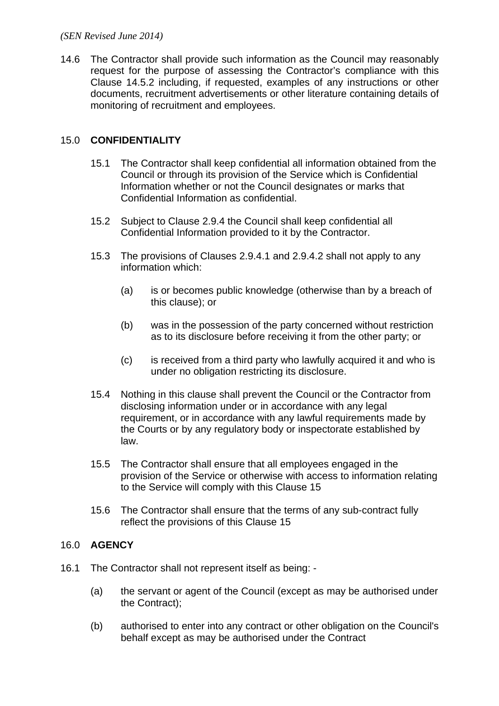14.6 The Contractor shall provide such information as the Council may reasonably request for the purpose of assessing the Contractor's compliance with this Clause 14.5.2 including, if requested, examples of any instructions or other documents, recruitment advertisements or other literature containing details of monitoring of recruitment and employees.

# 15.0 **CONFIDENTIALITY**

- 15.1 The Contractor shall keep confidential all information obtained from the Council or through its provision of the Service which is Confidential Information whether or not the Council designates or marks that Confidential Information as confidential.
- 15.2 Subject to Clause 2.9.4 the Council shall keep confidential all Confidential Information provided to it by the Contractor.
- 15.3 The provisions of Clauses 2.9.4.1 and 2.9.4.2 shall not apply to any information which:
	- (a) is or becomes public knowledge (otherwise than by a breach of this clause); or
	- (b) was in the possession of the party concerned without restriction as to its disclosure before receiving it from the other party; or
	- (c) is received from a third party who lawfully acquired it and who is under no obligation restricting its disclosure.
- 15.4 Nothing in this clause shall prevent the Council or the Contractor from disclosing information under or in accordance with any legal requirement, or in accordance with any lawful requirements made by the Courts or by any regulatory body or inspectorate established by law.
- 15.5 The Contractor shall ensure that all employees engaged in the provision of the Service or otherwise with access to information relating to the Service will comply with this Clause 15
- 15.6 The Contractor shall ensure that the terms of any sub-contract fully reflect the provisions of this Clause 15

## 16.0 **AGENCY**

- 16.1 The Contractor shall not represent itself as being:
	- (a) the servant or agent of the Council (except as may be authorised under the Contract);
	- (b) authorised to enter into any contract or other obligation on the Council's behalf except as may be authorised under the Contract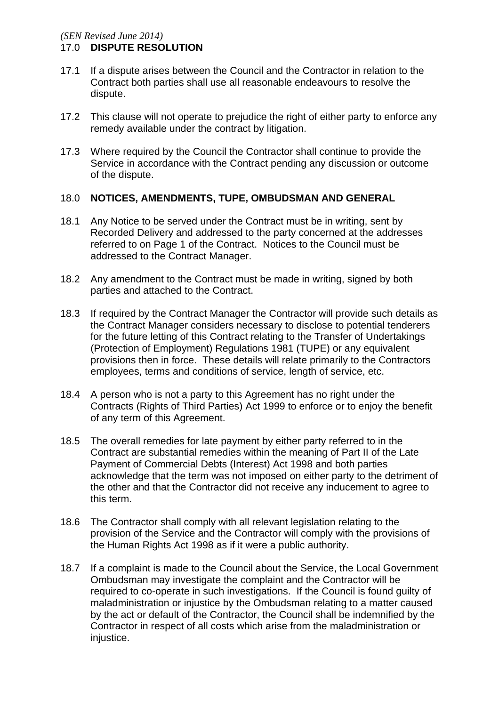- 17.1 If a dispute arises between the Council and the Contractor in relation to the Contract both parties shall use all reasonable endeavours to resolve the dispute.
- 17.2 This clause will not operate to prejudice the right of either party to enforce any remedy available under the contract by litigation.
- 17.3 Where required by the Council the Contractor shall continue to provide the Service in accordance with the Contract pending any discussion or outcome of the dispute.

#### 18.0 **NOTICES, AMENDMENTS, TUPE, OMBUDSMAN AND GENERAL**

- 18.1 Any Notice to be served under the Contract must be in writing, sent by Recorded Delivery and addressed to the party concerned at the addresses referred to on Page 1 of the Contract. Notices to the Council must be addressed to the Contract Manager.
- 18.2 Any amendment to the Contract must be made in writing, signed by both parties and attached to the Contract.
- 18.3 If required by the Contract Manager the Contractor will provide such details as the Contract Manager considers necessary to disclose to potential tenderers for the future letting of this Contract relating to the Transfer of Undertakings (Protection of Employment) Regulations 1981 (TUPE) or any equivalent provisions then in force. These details will relate primarily to the Contractors employees, terms and conditions of service, length of service, etc.
- 18.4 A person who is not a party to this Agreement has no right under the Contracts (Rights of Third Parties) Act 1999 to enforce or to enjoy the benefit of any term of this Agreement.
- 18.5 The overall remedies for late payment by either party referred to in the Contract are substantial remedies within the meaning of Part II of the Late Payment of Commercial Debts (Interest) Act 1998 and both parties acknowledge that the term was not imposed on either party to the detriment of the other and that the Contractor did not receive any inducement to agree to this term.
- 18.6 The Contractor shall comply with all relevant legislation relating to the provision of the Service and the Contractor will comply with the provisions of the Human Rights Act 1998 as if it were a public authority.
- 18.7 If a complaint is made to the Council about the Service, the Local Government Ombudsman may investigate the complaint and the Contractor will be required to co-operate in such investigations. If the Council is found guilty of maladministration or injustice by the Ombudsman relating to a matter caused by the act or default of the Contractor, the Council shall be indemnified by the Contractor in respect of all costs which arise from the maladministration or iniustice.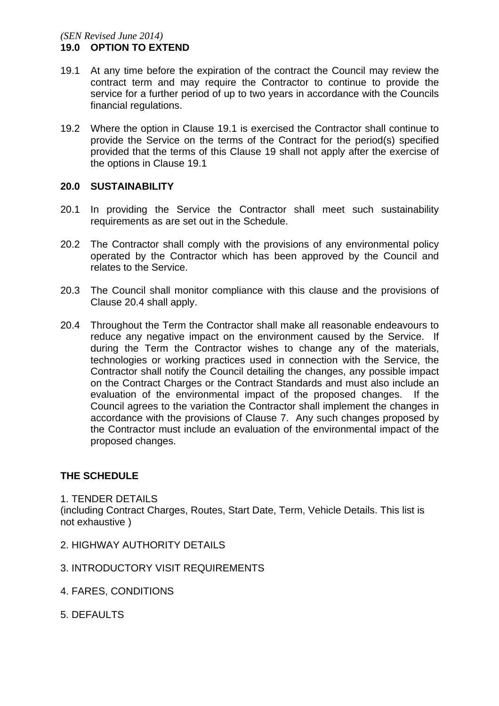- 19.1 At any time before the expiration of the contract the Council may review the contract term and may require the Contractor to continue to provide the service for a further period of up to two years in accordance with the Councils financial regulations.
- 19.2 Where the option in Clause 19.1 is exercised the Contractor shall continue to provide the Service on the terms of the Contract for the period(s) specified provided that the terms of this Clause 19 shall not apply after the exercise of the options in Clause 19.1

#### **20.0 SUSTAINABILITY**

- 20.1 In providing the Service the Contractor shall meet such sustainability requirements as are set out in the Schedule.
- 20.2 The Contractor shall comply with the provisions of any environmental policy operated by the Contractor which has been approved by the Council and relates to the Service.
- 20.3 The Council shall monitor compliance with this clause and the provisions of Clause 20.4 shall apply.
- 20.4 Throughout the Term the Contractor shall make all reasonable endeavours to reduce any negative impact on the environment caused by the Service. If during the Term the Contractor wishes to change any of the materials, technologies or working practices used in connection with the Service, the Contractor shall notify the Council detailing the changes, any possible impact on the Contract Charges or the Contract Standards and must also include an evaluation of the environmental impact of the proposed changes. If the Council agrees to the variation the Contractor shall implement the changes in accordance with the provisions of Clause 7. Any such changes proposed by the Contractor must include an evaluation of the environmental impact of the proposed changes.

#### **THE SCHEDULE**

1. TENDER DETAILS (including Contract Charges, Routes, Start Date, Term, Vehicle Details. This list is not exhaustive )

- 2. HIGHWAY AUTHORITY DETAILS
- 3. INTRODUCTORY VISIT REQUIREMENTS
- 4. FARES, CONDITIONS
- 5. DEFAULTS